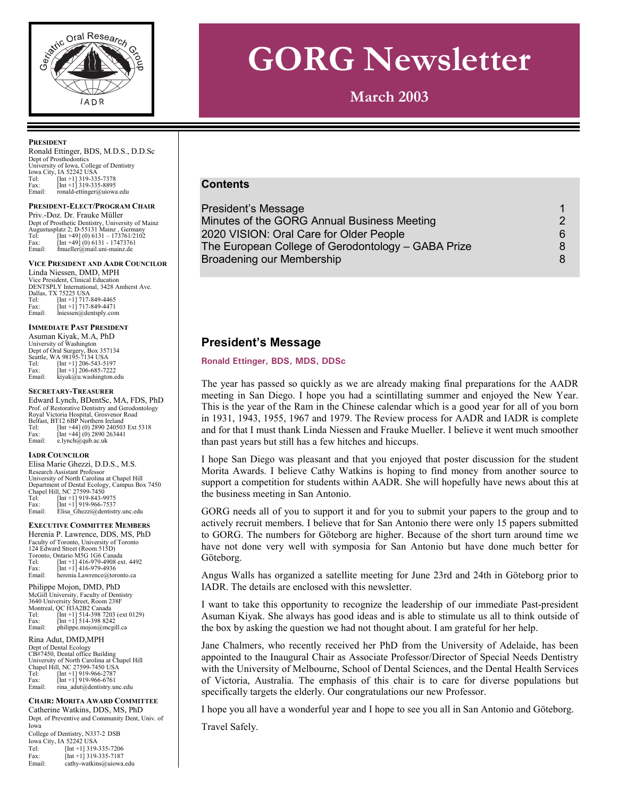

# **GORG Newsletter**

**March 2003** 

#### **PRESIDENT**

Ronald Ettinger, BDS, M.D.S., D.D.Sc Dept of Prosthodontics University of Iowa, College of Dentistry Iowa City, IA 52242 USA Tel: [Int +1] 319-335-7378 Fax:  $\begin{bmatrix} \text{Int } +1 \end{bmatrix}$  319-335-8895<br>Email ronald-ettinger@ujow: ronald-ettinger@uiowa.edu

#### **PRESIDENT-ELECT/PROGRAM CHAIR**

Priv.-Doz. Dr. Frauke Müller Dept of Prosthetic Dentistry, University of Mainz<br>Augustusplatz 2; D-55131 Mainz , Germany<br>Tel: [Int +49] (0) 6131 – 173761/2102<br>Fax: [Int +49] (0) 6131 - 17473761 Email: fmueller@mail.uni-mainz.de

#### **VICE PRESIDENT AND AADR COUNCILOR** Linda Niessen, DMD, MPH

Vice President, Clinical Education DENTSPLY International, 3428 Amherst Ave. Dallas, TX 75225 USA<br>
Tel: [Int +1] 717-4<br>
Fax: [Int +1] 717-4 Tel: [Int +1] 717-849-4465 Fax: [Int +1] 717-849-4471 Email: lniessen@dentsply.com

#### **IMMEDIATE PAST PRESIDENT**

Asuman Kiyak, M.A, PhD University of Washington Dept of Oral Surgery, Box 357134 Seattle, WA 98195-7134 USA Tel: [Int +1] 206-543-5197 Fax: [Int +1] 206-685-7222 Fax:  $\left[\text{Int }+1\right]$  206-685-7222<br>Email: kiyak@u.washington.edu

#### **SECRETARY-TREASURER**

Edward Lynch, BDentSc, MA, FDS, PhD Prof. of Restorative Dentistry and Gerodontology Royal Victoria Hospital, Grosvenor Road Belfast, BT12 6BP Northern Ireland Tel: [Int +44] (0) 2890 240503 Ext 5318 Fax: [Int +44] (0) 2890 263441 Email: e.lynch@qub.ac.uk

#### **IADR COUNCILOR**

Elisa Marie Ghezzi, D.D.S., M.S. Research Assistant Professor University of North Carolina at Chapel Hill Department of Dental Ecology, Campus Box 7450 Chapel Hill, NC 27599-7450 Tel: [Int +1] 919-843-9975 Fax: [Int +1] 919-966-7537 Email: Elisa\_Ghezzi@dentistry.unc.edu

#### **EXECUTIVE COMMITTEE MEMBERS**

Herenia P. Lawrence, DDS, MS, PhD Faculty of Toronto, University of Toronto 124 Edward Street (Room 515D) Toronto, Ontario M5G 1G6 Canada<br>Tel: [Int +1] 416-979-4908 ex Tel: [Int +1] 416-979-4908 ext. 4492 Fax: [Int +1] 416-979-4936 Email: herenia.Lawrence@toronto.ca

Philippe Mojon, DMD, PhD McGill University, Faculty of Dentistry 3640 University Street, Room 238F Montreal, QC H3A2B2 Canada Tel: [Int +1] 514-398 7203 (ext 0129) Fax: [Int +1] 514-398 8242<br>Email: philippe.mojon@mcgi philippe.mojon@mcgill.ca

#### Rina Adut, DMD,MPH

Dept of Dental Ecology CB#7450, Dental office Building University of North Carolina at Chapel Hill Chapel Hill, NC 27599-7450 USA Tel: [Int +1] 919-966-2787 Fax:  $[Int +1]$  919-966-6761<br>Email: rina adut@dentistry.ur rina\_adut@dentistry.unc.edu

#### **CHAIR: MORITA AWARD COMMITTEE**

Catherine Watkins, DDS, MS, PhD Dept. of Preventive and Community Dent, Univ. of Iowa College of Dentistry, N337-2 DSB Iowa City, IA 52242 USA Tel: [Int +1] 319-335-7206 Fax: [Int +1] 319-335-7187 Email: cathy-watkins@uiowa.edu

## **Contents**

| President's Message                                |    |
|----------------------------------------------------|----|
| Minutes of the GORG Annual Business Meeting        | 2  |
| 2020 VISION: Oral Care for Older People            | 6. |
| The European College of Gerodontology – GABA Prize | 8  |
| Broadening our Membership                          | 8  |

# **President's Message**

#### Ronald Ettinger, BDS, MDS, DDSc

The year has passed so quickly as we are already making final preparations for the AADR meeting in San Diego. I hope you had a scintillating summer and enjoyed the New Year. This is the year of the Ram in the Chinese calendar which is a good year for all of you born in 1931, 1943, 1955, 1967 and 1979. The Review process for AADR and IADR is complete and for that I must thank Linda Niessen and Frauke Mueller. I believe it went much smoother than past years but still has a few hitches and hiccups.

I hope San Diego was pleasant and that you enjoyed that poster discussion for the student Morita Awards. I believe Cathy Watkins is hoping to find money from another source to support a competition for students within AADR. She will hopefully have news about this at the business meeting in San Antonio.

GORG needs all of you to support it and for you to submit your papers to the group and to actively recruit members. I believe that for San Antonio there were only 15 papers submitted to GORG. The numbers for Göteborg are higher. Because of the short turn around time we have not done very well with symposia for San Antonio but have done much better for Göteborg.

Angus Walls has organized a satellite meeting for June 23rd and 24th in Göteborg prior to IADR. The details are enclosed with this newsletter.

I want to take this opportunity to recognize the leadership of our immediate Past-president Asuman Kiyak. She always has good ideas and is able to stimulate us all to think outside of the box by asking the question we had not thought about. I am grateful for her help.

Jane Chalmers, who recently received her PhD from the University of Adelaide, has been appointed to the Inaugural Chair as Associate Professor/Director of Special Needs Dentistry with the University of Melbourne, School of Dental Sciences, and the Dental Health Services of Victoria, Australia. The emphasis of this chair is to care for diverse populations but specifically targets the elderly. Our congratulations our new Professor.

I hope you all have a wonderful year and I hope to see you all in San Antonio and Göteborg.

Travel Safely.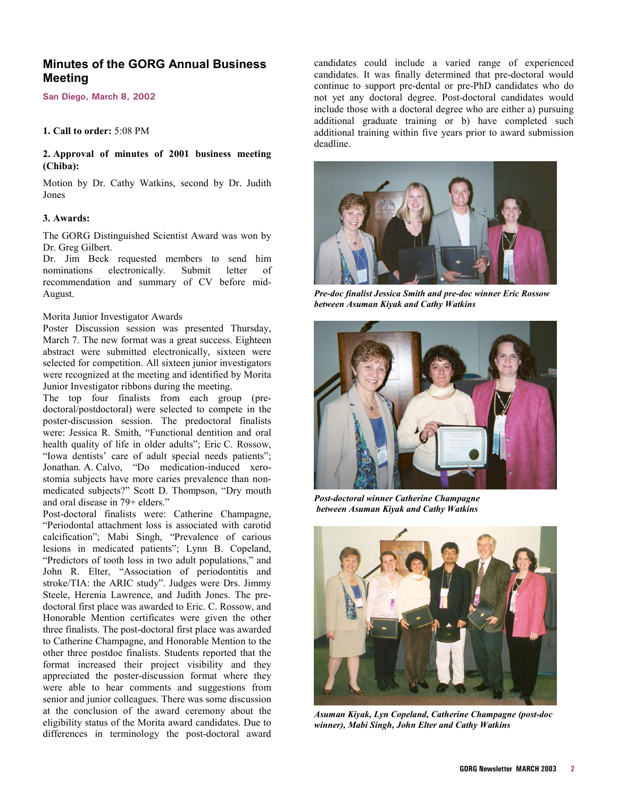# <span id="page-1-0"></span>**Minutes of the GORG Annual Business Meeting**

**San Diego, March 8, 2002** 

#### **1. Call to order:** 5:08 PM

## **2. Approval of minutes of 2001 business meeting (Chiba):**

Motion by Dr. Cathy Watkins, second by Dr. Judith Jones

#### **3. Awards:**

The GORG Distinguished Scientist Award was won by Dr. Greg Gilbert.

Dr. Jim Beck requested members to send him nominations electronically. Submit letter of recommendation and summary of CV before mid-August.

## Morita Junior Investigator Awards

Poster Discussion session was presented Thursday, March 7. The new format was a great success. Eighteen abstract were submitted electronically, sixteen were selected for competition. All sixteen junior investigators were recognized at the meeting and identified by Morita Junior Investigator ribbons during the meeting.

The top four finalists from each group (predoctoral/postdoctoral) were selected to compete in the poster-discussion session. The predoctoral finalists were: Jessica R. Smith, "Functional dentition and oral health quality of life in older adults"; Eric C. Rossow, "Iowa dentists' care of adult special needs patients"; Jonathan. A. Calvo, "Do medication-induced xerostomia subjects have more caries prevalence than nonmedicated subjects?" Scott D. Thompson, "Dry mouth and oral disease in 79+ elders."

Post-doctoral finalists were: Catherine Champagne, "Periodontal attachment loss is associated with carotid calcification"; Mabi Singh, "Prevalence of carious lesions in medicated patients"; Lynn B. Copeland, "Predictors of tooth loss in two adult populations," and John R. Elter, "Association of periodontitis and stroke/TIA: the ARIC study". Judges were Drs. Jimmy Steele, Herenia Lawrence, and Judith Jones. The predoctoral first place was awarded to Eric. C. Rossow, and Honorable Mention certificates were given the other three finalists. The post-doctoral first place was awarded to Catherine Champagne, and Honorable Mention to the other three postdoc finalists. Students reported that the format increased their project visibility and they appreciated the poster-discussion format where they were able to hear comments and suggestions from senior and junior colleagues. There was some discussion at the conclusion of the award ceremony about the eligibility status of the Morita award candidates. Due to differences in terminology the post-doctoral award

candidates could include a varied range of experienced candidates. It was finally determined that pre-doctoral would continue to support pre-dental or pre-PhD candidates who do not yet any doctoral degree. Post-doctoral candidates would include those with a doctoral degree who are either a) pursuing additional graduate training or b) have completed such additional training within five years prior to award submission deadline.



*Pre-doc finalist Jessica Smith and pre-doc winner Eric Rossow between Asuman Kiyak and Cathy Watkins* 



*Post-doctoral winner Catherine Champagne between Asuman Kiyak and Cathy Watkins* 



*Asuman Kiyak, Lyn Copeland, Catherine Champagne (post-doc winner), Mabi Singh, John Elter and Cathy Watkins*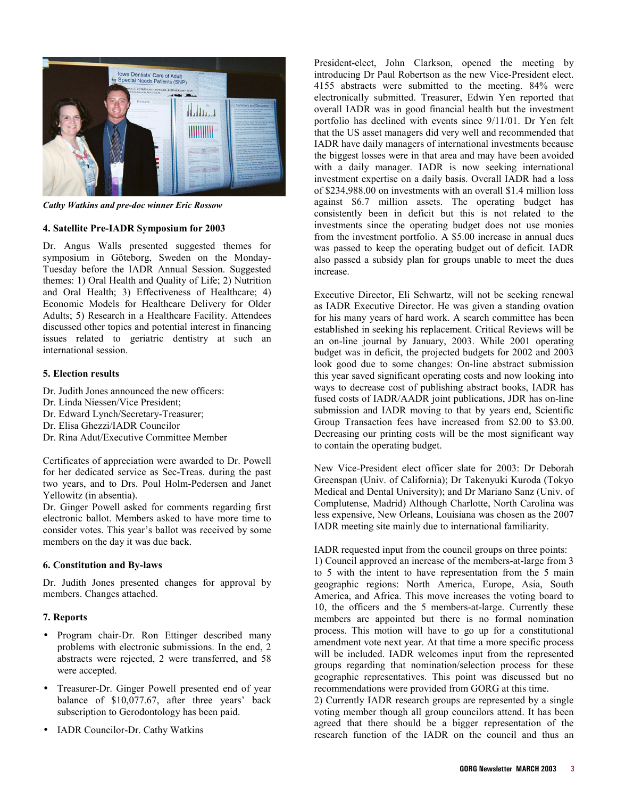

*Cathy Watkins and pre-doc winner Eric Rossow* 

#### **4. Satellite Pre-IADR Symposium for 2003**

Dr. Angus Walls presented suggested themes for symposium in Göteborg, Sweden on the Monday-Tuesday before the IADR Annual Session. Suggested themes: 1) Oral Health and Quality of Life; 2) Nutrition and Oral Health; 3) Effectiveness of Healthcare; 4) Economic Models for Healthcare Delivery for Older Adults; 5) Research in a Healthcare Facility. Attendees discussed other topics and potential interest in financing issues related to geriatric dentistry at such an international session.

#### **5. Election results**

- Dr. Judith Jones announced the new officers:
- Dr. Linda Niessen/Vice President;
- Dr. Edward Lynch/Secretary-Treasurer;
- Dr. Elisa Ghezzi/IADR Councilor
- Dr. Rina Adut/Executive Committee Member

Certificates of appreciation were awarded to Dr. Powell for her dedicated service as Sec-Treas. during the past two years, and to Drs. Poul Holm-Pedersen and Janet Yellowitz (in absentia).

Dr. Ginger Powell asked for comments regarding first electronic ballot. Members asked to have more time to consider votes. This year's ballot was received by some members on the day it was due back.

## **6. Constitution and By-laws**

Dr. Judith Jones presented changes for approval by members. Changes attached.

#### **7. Reports**

- Program chair-Dr. Ron Ettinger described many problems with electronic submissions. In the end, 2 abstracts were rejected, 2 were transferred, and 58 were accepted.
- Treasurer-Dr. Ginger Powell presented end of year balance of \$10,077.67, after three years' back subscription to Gerodontology has been paid.
- IADR Councilor-Dr. Cathy Watkins

President-elect, John Clarkson, opened the meeting by introducing Dr Paul Robertson as the new Vice-President elect. 4155 abstracts were submitted to the meeting. 84% were electronically submitted. Treasurer, Edwin Yen reported that overall IADR was in good financial health but the investment portfolio has declined with events since 9/11/01. Dr Yen felt that the US asset managers did very well and recommended that IADR have daily managers of international investments because the biggest losses were in that area and may have been avoided with a daily manager. IADR is now seeking international investment expertise on a daily basis. Overall IADR had a loss of \$234,988.00 on investments with an overall \$1.4 million loss against \$6.7 million assets. The operating budget has consistently been in deficit but this is not related to the investments since the operating budget does not use monies from the investment portfolio. A \$5.00 increase in annual dues was passed to keep the operating budget out of deficit. IADR also passed a subsidy plan for groups unable to meet the dues increase.

Executive Director, Eli Schwartz, will not be seeking renewal as IADR Executive Director. He was given a standing ovation for his many years of hard work. A search committee has been established in seeking his replacement. Critical Reviews will be an on-line journal by January, 2003. While 2001 operating budget was in deficit, the projected budgets for 2002 and 2003 look good due to some changes: On-line abstract submission this year saved significant operating costs and now looking into ways to decrease cost of publishing abstract books, IADR has fused costs of IADR/AADR joint publications, JDR has on-line submission and IADR moving to that by years end, Scientific Group Transaction fees have increased from \$2.00 to \$3.00. Decreasing our printing costs will be the most significant way to contain the operating budget.

New Vice-President elect officer slate for 2003: Dr Deborah Greenspan (Univ. of California); Dr Takenyuki Kuroda (Tokyo Medical and Dental University); and Dr Mariano Sanz (Univ. of Complutense, Madrid) Although Charlotte, North Carolina was less expensive, New Orleans, Louisiana was chosen as the 2007 IADR meeting site mainly due to international familiarity.

IADR requested input from the council groups on three points:

1) Council approved an increase of the members-at-large from 3 to 5 with the intent to have representation from the 5 main geographic regions: North America, Europe, Asia, South America, and Africa. This move increases the voting board to 10, the officers and the 5 members-at-large. Currently these members are appointed but there is no formal nomination process. This motion will have to go up for a constitutional amendment vote next year. At that time a more specific process will be included. IADR welcomes input from the represented groups regarding that nomination/selection process for these geographic representatives. This point was discussed but no recommendations were provided from GORG at this time.

2) Currently IADR research groups are represented by a single voting member though all group councilors attend. It has been agreed that there should be a bigger representation of the research function of the IADR on the council and thus an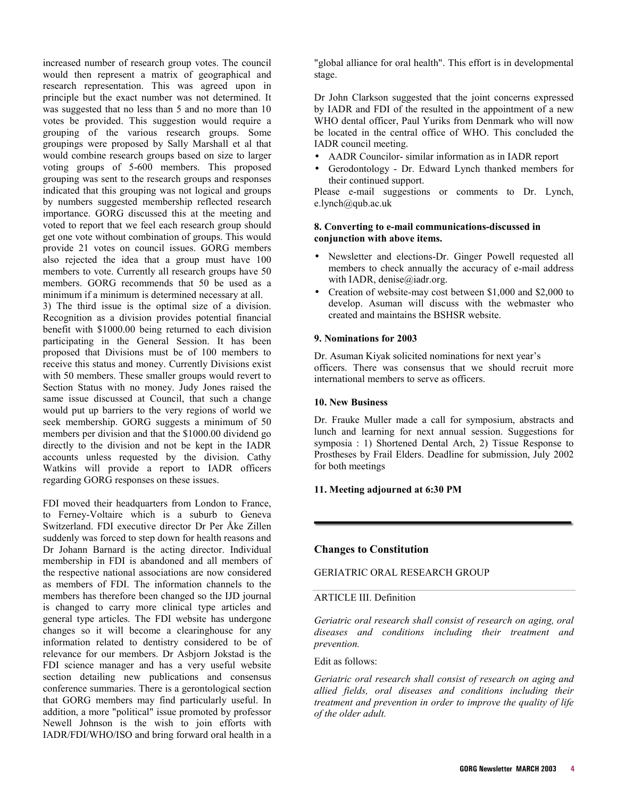increased number of research group votes. The council would then represent a matrix of geographical and research representation. This was agreed upon in principle but the exact number was not determined. It was suggested that no less than 5 and no more than 10 votes be provided. This suggestion would require a grouping of the various research groups. Some groupings were proposed by Sally Marshall et al that would combine research groups based on size to larger voting groups of 5-600 members. This proposed grouping was sent to the research groups and responses indicated that this grouping was not logical and groups by numbers suggested membership reflected research importance. GORG discussed this at the meeting and voted to report that we feel each research group should get one vote without combination of groups. This would provide 21 votes on council issues. GORG members also rejected the idea that a group must have 100 members to vote. Currently all research groups have 50 members. GORG recommends that 50 be used as a minimum if a minimum is determined necessary at all. 3) The third issue is the optimal size of a division. Recognition as a division provides potential financial benefit with \$1000.00 being returned to each division participating in the General Session. It has been proposed that Divisions must be of 100 members to receive this status and money. Currently Divisions exist with 50 members. These smaller groups would revert to Section Status with no money. Judy Jones raised the

same issue discussed at Council, that such a change would put up barriers to the very regions of world we seek membership. GORG suggests a minimum of 50 members per division and that the \$1000.00 dividend go directly to the division and not be kept in the IADR accounts unless requested by the division. Cathy

Watkins will provide a report to IADR officers regarding GORG responses on these issues. FDI moved their headquarters from London to France, to Ferney-Voltaire which is a suburb to Geneva Switzerland. FDI executive director Dr Per Åke Zillen suddenly was forced to step down for health reasons and Dr Johann Barnard is the acting director. Individual membership in FDI is abandoned and all members of the respective national associations are now considered as members of FDI. The information channels to the members has therefore been changed so the IJD journal is changed to carry more clinical type articles and general type articles. The FDI website has undergone changes so it will become a clearinghouse for any information related to dentistry considered to be of relevance for our members. Dr Asbjorn Jokstad is the FDI science manager and has a very useful website section detailing new publications and consensus conference summaries. There is a gerontological section that GORG members may find particularly useful. In addition, a more "political" issue promoted by professor Newell Johnson is the wish to join efforts with IADR/FDI/WHO/ISO and bring forward oral health in a

"global alliance for oral health". This effort is in developmental stage.

Dr John Clarkson suggested that the joint concerns expressed by IADR and FDI of the resulted in the appointment of a new WHO dental officer, Paul Yuriks from Denmark who will now be located in the central office of WHO. This concluded the IADR council meeting.

- AADR Councilor- similar information as in IADR report
- Gerodontology Dr. Edward Lynch thanked members for their continued support.

Please e-mail suggestions or comments to Dr. Lynch, e.lynch@qub.ac.uk

## **8. Converting to e-mail communications-discussed in conjunction with above items.**

- Newsletter and elections-Dr. Ginger Powell requested all members to check annually the accuracy of e-mail address with IADR, denise@iadr.org.
- Creation of website-may cost between \$1,000 and \$2,000 to develop. Asuman will discuss with the webmaster who created and maintains the BSHSR website.

#### **9. Nominations for 2003**

Dr. Asuman Kiyak solicited nominations for next year's officers. There was consensus that we should recruit more international members to serve as officers.

#### **10. New Business**

Dr. Frauke Muller made a call for symposium, abstracts and lunch and learning for next annual session. Suggestions for symposia : 1) Shortened Dental Arch, 2) Tissue Response to Prostheses by Frail Elders. Deadline for submission, July 2002 for both meetings

#### **11. Meeting adjourned at 6:30 PM**

#### **Changes to Constitution**

#### GERIATRIC ORAL RESEARCH GROUP

#### ARTICLE III. Definition

*Geriatric oral research shall consist of research on aging, oral diseases and conditions including their treatment and prevention.* 

#### Edit as follows:

*Geriatric oral research shall consist of research on aging and allied fields, oral diseases and conditions including their treatment and prevention in order to improve the quality of life of the older adult.*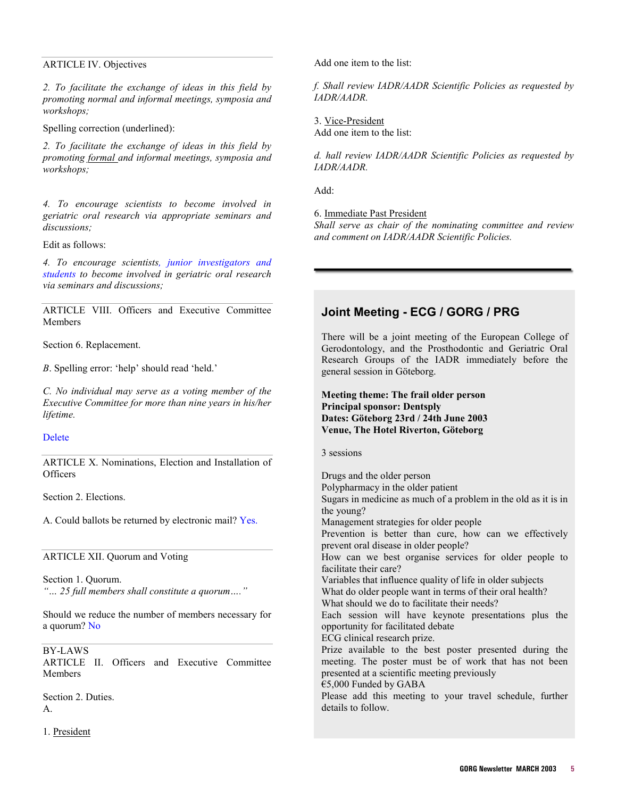### ARTICLE IV. Objectives

*2. To facilitate the exchange of ideas in this field by promoting normal and informal meetings, symposia and workshops;* 

Spelling correction (underlined):

*2. To facilitate the exchange of ideas in this field by promoting formal and informal meetings, symposia and workshops;* 

*4. To encourage scientists to become involved in geriatric oral research via appropriate seminars and discussions;* 

Edit as follows:

*4. To encourage scientists, junior investigators and students to become involved in geriatric oral research via seminars and discussions;* 

ARTICLE VIII. Officers and Executive Committee Members

Section 6. Replacement.

*B*. Spelling error: 'help' should read 'held.'

*C. No individual may serve as a voting member of the Executive Committee for more than nine years in his/her lifetime.* 

## Delete

ARTICLE X. Nominations, Election and Installation of **Officers** 

Section 2. Elections.

A. Could ballots be returned by electronic mail? Yes.

ARTICLE XII. Quorum and Voting

Section 1. Quorum. *"… 25 full members shall constitute a quorum…."* 

Should we reduce the number of members necessary for a quorum? No

BY-LAWS

ARTICLE II. Officers and Executive Committee Members

Section 2. Duties. A.

1. President

Add one item to the list:

*f. Shall review IADR/AADR Scientific Policies as requested by IADR/AADR.* 

3. Vice-President Add one item to the list:

*d. hall review IADR/AADR Scientific Policies as requested by IADR/AADR.* 

Add:

6. Immediate Past President

*Shall serve as chair of the nominating committee and review and comment on IADR/AADR Scientific Policies.* 

# **Joint Meeting - ECG / GORG / PRG**

There will be a joint meeting of the European College of Gerodontology, and the Prosthodontic and Geriatric Oral Research Groups of the IADR immediately before the general session in Göteborg.

## **Meeting theme: The frail older person Principal sponsor: Dentsply Dates: Göteborg 23rd / 24th June 2003 Venue, The Hotel Riverton, Göteborg**

3 sessions

Drugs and the older person Polypharmacy in the older patient Sugars in medicine as much of a problem in the old as it is in the young? Management strategies for older people Prevention is better than cure, how can we effectively prevent oral disease in older people? How can we best organise services for older people to facilitate their care? Variables that influence quality of life in older subjects What do older people want in terms of their oral health? What should we do to facilitate their needs? Each session will have keynote presentations plus the opportunity for facilitated debate ECG clinical research prize. Prize available to the best poster presented during the meeting. The poster must be of work that has not been presented at a scientific meeting previously €5,000 Funded by GABA Please add this meeting to your travel schedule, further details to follow.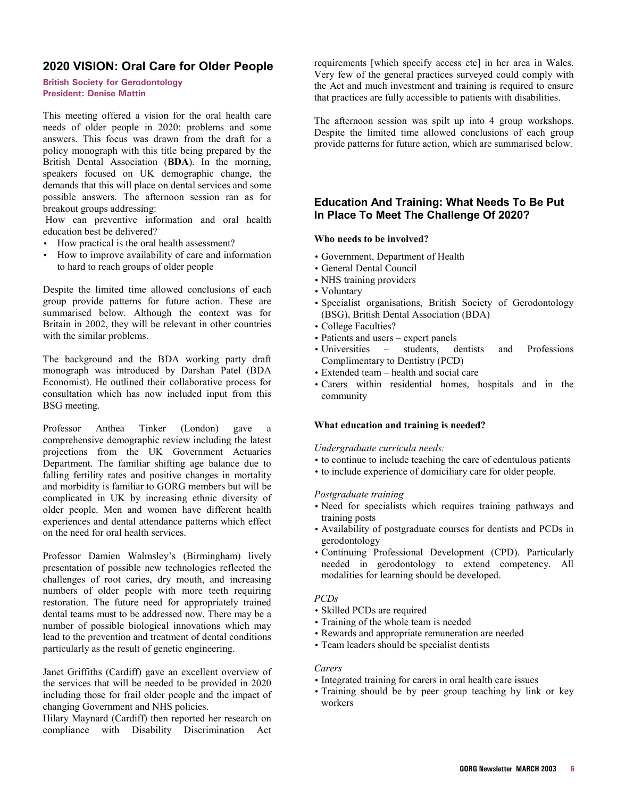# <span id="page-5-0"></span>**2020 VISION: Oral Care for Older People**

**British Society for Gerodontology President: Denise Mattin** 

This meeting offered a vision for the oral health care needs of older people in 2020: problems and some answers. This focus was drawn from the draft for a policy monograph with this title being prepared by the British Dental Association (**BDA**). In the morning, speakers focused on UK demographic change, the demands that this will place on dental services and some possible answers. The afternoon session ran as for breakout groups addressing:

 How can preventive information and oral health education best be delivered?

- How practical is the oral health assessment?
- How to improve availability of care and information to hard to reach groups of older people

Despite the limited time allowed conclusions of each group provide patterns for future action. These are summarised below. Although the context was for Britain in 2002, they will be relevant in other countries with the similar problems.

The background and the BDA working party draft monograph was introduced by Darshan Patel (BDA Economist). He outlined their collaborative process for consultation which has now included input from this BSG meeting.

Professor Anthea Tinker (London) gave a comprehensive demographic review including the latest projections from the UK Government Actuaries Department. The familiar shifting age balance due to falling fertility rates and positive changes in mortality and morbidity is familiar to GORG members but will be complicated in UK by increasing ethnic diversity of older people. Men and women have different health experiences and dental attendance patterns which effect on the need for oral health services.

Professor Damien Walmsley's (Birmingham) lively presentation of possible new technologies reflected the challenges of root caries, dry mouth, and increasing numbers of older people with more teeth requiring restoration. The future need for appropriately trained dental teams must to be addressed now. There may be a number of possible biological innovations which may lead to the prevention and treatment of dental conditions particularly as the result of genetic engineering.

Janet Griffiths (Cardiff) gave an excellent overview of the services that will be needed to be provided in 2020 including those for frail older people and the impact of changing Government and NHS policies.

Hilary Maynard (Cardiff) then reported her research on compliance with Disability Discrimination Act requirements [which specify access etc] in her area in Wales. Very few of the general practices surveyed could comply with the Act and much investment and training is required to ensure that practices are fully accessible to patients with disabilities.

The afternoon session was spilt up into 4 group workshops. Despite the limited time allowed conclusions of each group provide patterns for future action, which are summarised below.

# **Education And Training: What Needs To Be Put In Place To Meet The Challenge Of 2020?**

#### **Who needs to be involved?**

- Government, Department of Health
- General Dental Council
- NHS training providers
- Voluntary
- Specialist organisations, British Society of Gerodontology (BSG), British Dental Association (BDA)
- College Faculties?
- Patients and users expert panels
- Universities students, dentists and Professions Complimentary to Dentistry (PCD)
- Extended team health and social care
- Carers within residential homes, hospitals and in the community

#### **What education and training is needed?**

*Undergraduate curricula needs:* 

- to continue to include teaching the care of edentulous patients
- to include experience of domiciliary care for older people.

#### *Postgraduate training*

- Need for specialists which requires training pathways and training posts
- Availability of postgraduate courses for dentists and PCDs in gerodontology
- Continuing Professional Development (CPD). Particularly needed in gerodontology to extend competency. All modalities for learning should be developed.

#### *PCDs*

- Skilled PCDs are required
- Training of the whole team is needed
- Rewards and appropriate remuneration are needed
- Team leaders should be specialist dentists

#### *Carers*

- Integrated training for carers in oral health care issues
- Training should be by peer group teaching by link or key workers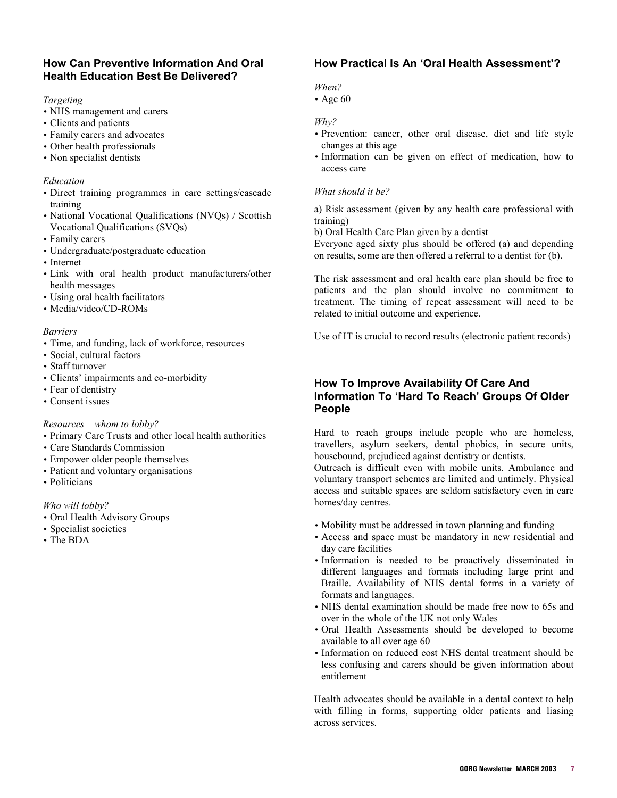# **How Can Preventive Information And Oral Health Education Best Be Delivered?**

## *Targeting*

- NHS management and carers
- Clients and patients
- Family carers and advocates
- Other health professionals
- Non specialist dentists

## *Education*

- Direct training programmes in care settings/cascade training
- National Vocational Qualifications (NVQs) / Scottish Vocational Qualifications (SVQs)
- Family carers
- Undergraduate/postgraduate education
- Internet
- Link with oral health product manufacturers/other health messages
- Using oral health facilitators
- Media/video/CD-ROMs

## *Barriers*

- Time, and funding, lack of workforce, resources
- Social, cultural factors
- Staff turnover
- Clients' impairments and co-morbidity
- Fear of dentistry
- Consent issues

## *Resources – whom to lobby?*

- Primary Care Trusts and other local health authorities
- Care Standards Commission
- Empower older people themselves
- Patient and voluntary organisations
- Politicians

## *Who will lobby?*

- Oral Health Advisory Groups
- Specialist societies
- The BDA

# **How Practical Is An 'Oral Health Assessment'?**

## *When?*

• Age 60

#### *Why?*

- Prevention: cancer, other oral disease, diet and life style changes at this age
- Information can be given on effect of medication, how to access care

## *What should it be?*

a) Risk assessment (given by any health care professional with training)

b) Oral Health Care Plan given by a dentist

Everyone aged sixty plus should be offered (a) and depending on results, some are then offered a referral to a dentist for (b).

The risk assessment and oral health care plan should be free to patients and the plan should involve no commitment to treatment. The timing of repeat assessment will need to be related to initial outcome and experience.

Use of IT is crucial to record results (electronic patient records)

# **How To Improve Availability Of Care And Information To 'Hard To Reach' Groups Of Older People**

Hard to reach groups include people who are homeless, travellers, asylum seekers, dental phobics, in secure units, housebound, prejudiced against dentistry or dentists.

Outreach is difficult even with mobile units. Ambulance and voluntary transport schemes are limited and untimely. Physical access and suitable spaces are seldom satisfactory even in care homes/day centres.

- Mobility must be addressed in town planning and funding
- Access and space must be mandatory in new residential and day care facilities
- Information is needed to be proactively disseminated in different languages and formats including large print and Braille. Availability of NHS dental forms in a variety of formats and languages.
- NHS dental examination should be made free now to 65s and over in the whole of the UK not only Wales
- Oral Health Assessments should be developed to become available to all over age 60
- Information on reduced cost NHS dental treatment should be less confusing and carers should be given information about entitlement

Health advocates should be available in a dental context to help with filling in forms, supporting older patients and liasing across services.